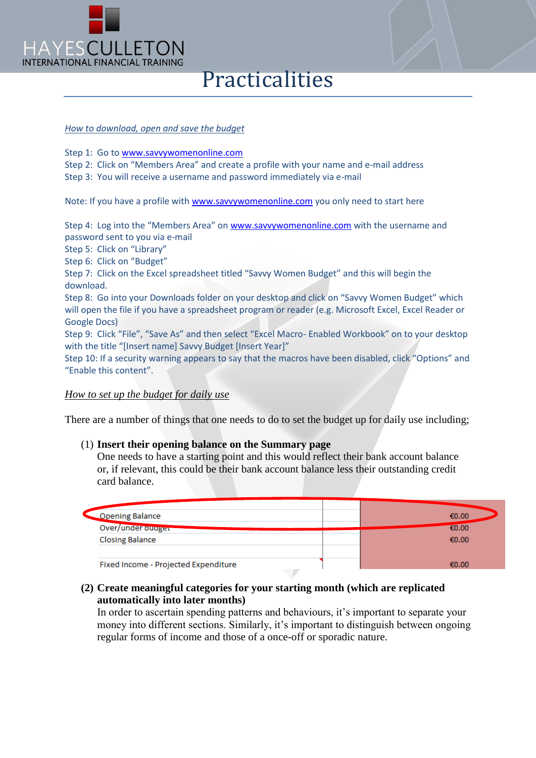

# Practicalities

#### *How to download, open and save the budget*

Step 1: Go to [www.savvywomenonline.com](http://www.savvywomenonline.com/)

Step 2: Click on "Members Area" and create a profile with your name and e-mail address

Step 3: You will receive a username and password immediately via e-mail

Note: If you have a profile with [www.savvywomenonline.com](http://www.savvywomenonline.com/) you only need to start here

Step 4: Log into the "Members Area" on [www.savvywomenonline.com](http://www.savvywomenonline.com/) with the username and password sent to you via e-mail

Step 5: Click on "Library"

Step 6: Click on "Budget"

Step 7: Click on the Excel spreadsheet titled "Savvy Women Budget" and this will begin the download.

Step 8: Go into your Downloads folder on your desktop and click on "Savvy Women Budget" which will open the file if you have a spreadsheet program or reader (e.g. Microsoft Excel, Excel Reader or Google Docs)

Step 9: Click "File", "Save As" and then select "Excel Macro- Enabled Workbook" on to your desktop with the title "[Insert name] Savvy Budget [Insert Year]"

Step 10: If a security warning appears to say that the macros have been disabled, click "Options" and "Enable this content".

#### *How to set up the budget for daily use*

There are a number of things that one needs to do to set the budget up for daily use including;

#### (1) **Insert their opening balance on the Summary page**

One needs to have a starting point and this would reflect their bank account balance or, if relevant, this could be their bank account balance less their outstanding credit card balance.

| <b>Opening Balance</b>               | €0.00 |
|--------------------------------------|-------|
| Over/under budger                    | €0.00 |
| <b>Closing Balance</b>               | €0.00 |
|                                      |       |
| Fixed Income - Projected Expenditure | €0.00 |

### **(2) Create meaningful categories for your starting month (which are replicated automatically into later months)**

In order to ascertain spending patterns and behaviours, it's important to separate your money into different sections. Similarly, it's important to distinguish between ongoing regular forms of income and those of a once-off or sporadic nature.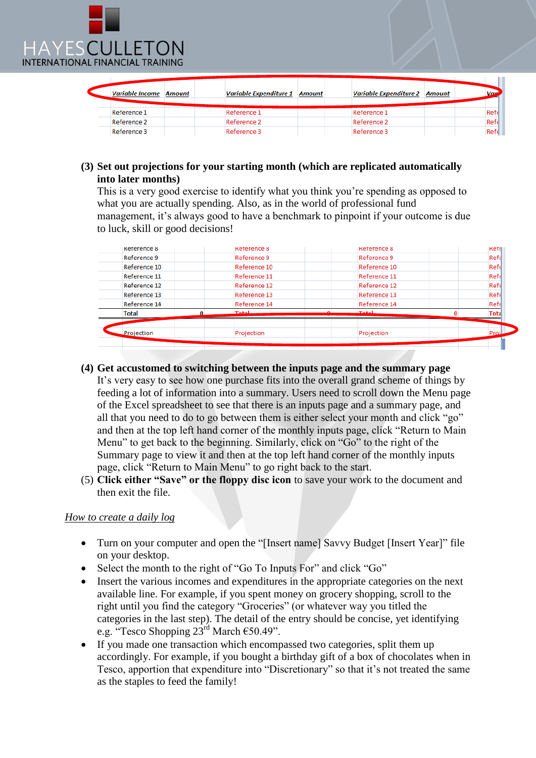

| <b>Variable Income Amount</b> | <b>Variable Expenditure 1 Amount</b> | <b>Variable Expenditure 2 Amount</b> | Vari             |
|-------------------------------|--------------------------------------|--------------------------------------|------------------|
| Reference 1                   | Reference 1                          | Reference 1                          | Refe             |
| Reference 2                   | Reference 2                          | Reference 2                          | Refe             |
| Reference 3                   | Reference 3                          | Reference 3                          | Ref <sub>6</sub> |

## **(3) Set out projections for your starting month (which are replicated automatically into later months)**

This is a very good exercise to identify what you think you're spending as opposed to what you are actually spending. Also, as in the world of professional fund management, it's always good to have a benchmark to pinpoint if your outcome is due to luck, skill or good decisions!

| <b>Total</b>       | Projection         | Projection         | Total<br>Proi |
|--------------------|--------------------|--------------------|---------------|
|                    | Total              | <b>Total</b>       |               |
| Reference 14       | Reference 14       | Reference 14       | Refe          |
| Reference 13       | Reference 13       | Reference 13       | Refe          |
| Reference 12       | Reference 12       | Reference 12       | Refe          |
| Reference 11       | Reference 11       | Reference 11       | Refe          |
| Reference 10       | Reference 10       | Reference 10       | Refe          |
| Reference 9        | Reference 9        | Reference 9        | Refe          |
| <b>Reference 8</b> | <b>Reference 8</b> | <b>Reference 8</b> | Kete          |

## **(4) Get accustomed to switching between the inputs page and the summary page**

It's very easy to see how one purchase fits into the overall grand scheme of things by feeding a lot of information into a summary. Users need to scroll down the Menu page of the Excel spreadsheet to see that there is an inputs page and a summary page, and all that you need to do to go between them is either select your month and click "go" and then at the top left hand corner of the monthly inputs page, click "Return to Main Menu" to get back to the beginning. Similarly, click on "Go" to the right of the Summary page to view it and then at the top left hand corner of the monthly inputs page, click "Return to Main Menu" to go right back to the start.

(5) **Click either "Save" or the floppy disc icon** to save your work to the document and then exit the file.

### *How to create a daily log*

- Turn on your computer and open the "[Insert name] Savvy Budget [Insert Year]" file on your desktop.
- Select the month to the right of "Go To Inputs For" and click "Go"
- Insert the various incomes and expenditures in the appropriate categories on the next available line. For example, if you spent money on grocery shopping, scroll to the right until you find the category "Groceries" (or whatever way you titled the categories in the last step). The detail of the entry should be concise, yet identifying e.g. "Tesco Shopping  $23^{\text{rd}}$  March  $\epsilon$ 50.49".
- If you made one transaction which encompassed two categories, split them up accordingly. For example, if you bought a birthday gift of a box of chocolates when in Tesco, apportion that expenditure into "Discretionary" so that it's not treated the same as the staples to feed the family!